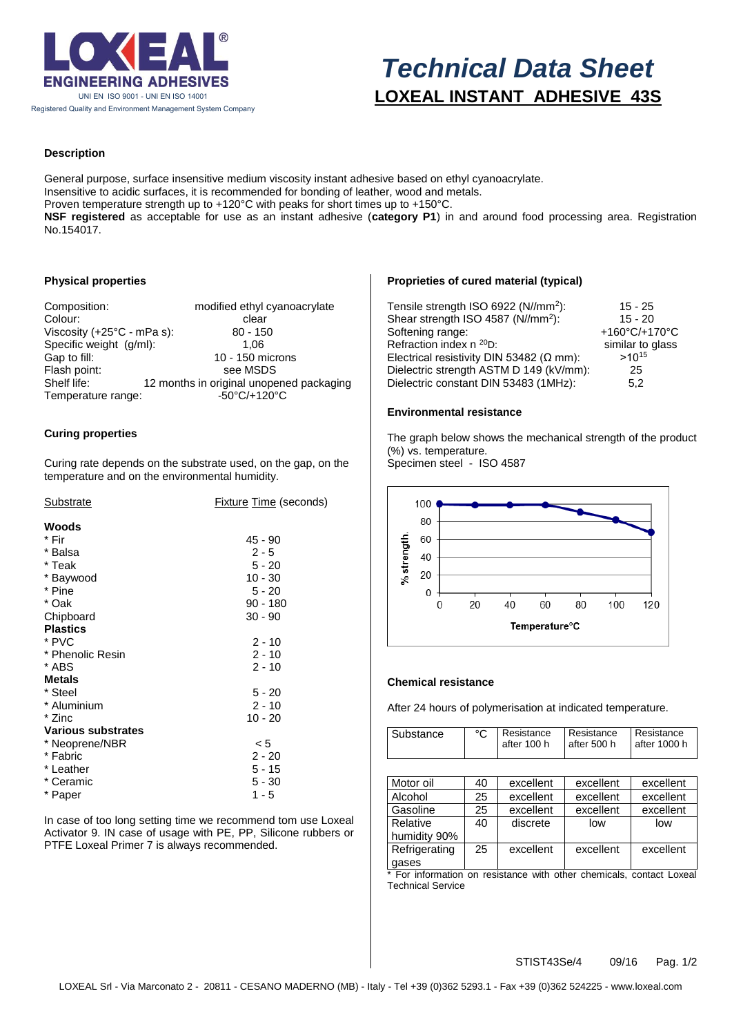

# *Technical Data Sheet* **LOXEAL INSTANT ADHESIVE 43S**

# **Description**

General purpose, surface insensitive medium viscosity instant adhesive based on ethyl cyanoacrylate. Insensitive to acidic surfaces, it is recommended for bonding of leather, wood and metals. Proven temperature strength up to +120°C with peaks for short times up to +150°C. **NSF registered** as acceptable for use as an instant adhesive (**category P1**) in and around food processing area. Registration No.154017.

# **Physical properties**

| Composition:<br>Colour:              | modified ethyl cyanoacrylate<br>clear    |
|--------------------------------------|------------------------------------------|
| Viscosity $(+25^{\circ}C - mPa s)$ : | $80 - 150$                               |
| Specific weight (g/ml):              | 1.06                                     |
| Gap to fill:                         | 10 - 150 microns                         |
| Flash point:                         | see MSDS                                 |
| Shelf life:                          | 12 months in original unopened packaging |
| Temperature range:                   | $-50^{\circ}$ C/+120 $^{\circ}$ C        |

## **Curing properties**

Curing rate depends on the substrate used, on the gap, on the temperature and on the environmental humidity.

| Substrate                 | <b>Fixture Time (seconds)</b> |  |  |
|---------------------------|-------------------------------|--|--|
| Woods                     |                               |  |  |
| * Fir                     | 45 - 90                       |  |  |
| * Balsa                   | $2 - 5$                       |  |  |
| * Teak                    | $5 - 20$                      |  |  |
| * Baywood                 | $10 - 30$                     |  |  |
| * Pine                    | $5 - 20$                      |  |  |
| * Oak                     | $90 - 180$                    |  |  |
| Chipboard                 | $30 - 90$                     |  |  |
| <b>Plastics</b>           |                               |  |  |
| * PVC                     | $2 - 10$                      |  |  |
| * Phenolic Resin          | $2 - 10$                      |  |  |
| * ABS                     | $2 - 10$                      |  |  |
| <b>Metals</b>             |                               |  |  |
| * Steel                   | $5 - 20$                      |  |  |
| * Aluminium               | $2 - 10$                      |  |  |
| * Zinc                    | $10 - 20$                     |  |  |
| <b>Various substrates</b> |                               |  |  |
| * Neoprene/NBR            | < 5                           |  |  |
| * Fabric                  | $2 - 20$                      |  |  |
| * Leather                 | $5 - 15$                      |  |  |
| * Ceramic                 | $5 - 30$                      |  |  |
| * Paper                   | $1 - 5$                       |  |  |
|                           |                               |  |  |

In case of too long setting time we recommend tom use Loxeal Activator 9. IN case of usage with PE, PP, Silicone rubbers or PTFE Loxeal Primer 7 is always recommended.

# **Proprieties of cured material (typical)**

| Tensile strength ISO 6922 (N//mm <sup>2</sup> ): | $15 - 25$        |
|--------------------------------------------------|------------------|
| Shear strength ISO 4587 (N//mm <sup>2</sup> ):   | $15 - 20$        |
| Softening range:                                 | +160°C/+170°C    |
| Refraction index n <sup>20</sup> D:              | similar to glass |
| Electrical resistivity DIN 53482 ( $\Omega$ mm): | $>10^{15}$       |
| Dielectric strength ASTM D 149 (kV/mm):          | 25               |
| Dielectric constant DIN 53483 (1MHz):            | 5.2              |

# **Environmental resistance**

The graph below shows the mechanical strength of the product (%) vs. temperature.

Specimen steel - ISO 4587



#### **Chemical resistance**

After 24 hours of polymerisation at indicated temperature.

| Substance     | °C | Resistance<br>after 100 h | Resistance<br>after 500 h | Resistance<br>after 1000 h |
|---------------|----|---------------------------|---------------------------|----------------------------|
|               |    |                           |                           |                            |
|               |    |                           |                           |                            |
| Motor oil     | 40 | excellent                 | excellent                 | excellent                  |
| Alcohol       | 25 | excellent                 | excellent                 | excellent                  |
| Gasoline      | 25 | excellent                 | excellent                 | excellent                  |
| Relative      | 40 | discrete                  | low                       | low                        |
| humidity 90%  |    |                           |                           |                            |
| Refrigerating | 25 | excellent                 | excellent                 | excellent                  |
| gases         |    |                           |                           |                            |

\* For information on resistance with other chemicals, contact Loxeal Technical Service

STIST43Se/4 09/16 Pag. 1/2